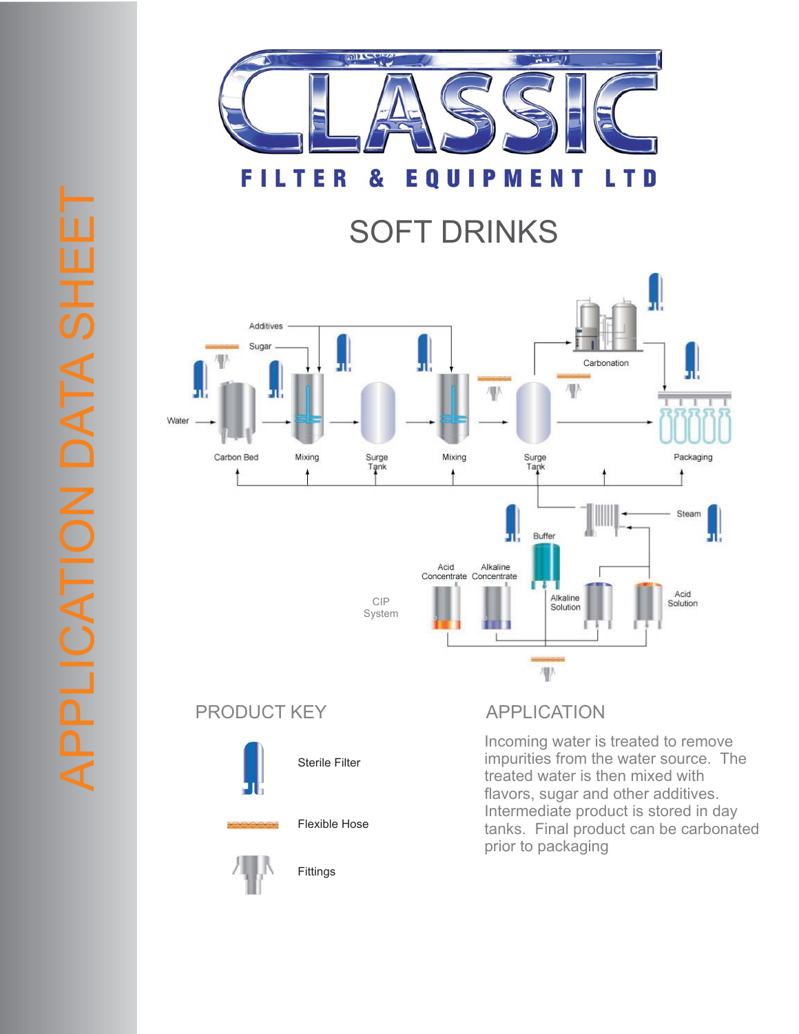

**FILTER EQUIPMENT LTD** &

## SOFT DRINKS



## PRODUCT KEY APPLICATION



Sterile Filter

Flexible Hose

Fittings



Incoming water is treated to remove impurities from the water source. The treated water is then mixed with flavors, sugar and other additives. Intermediate product is stored in day tanks. Final product can be carbonated prior to packaging